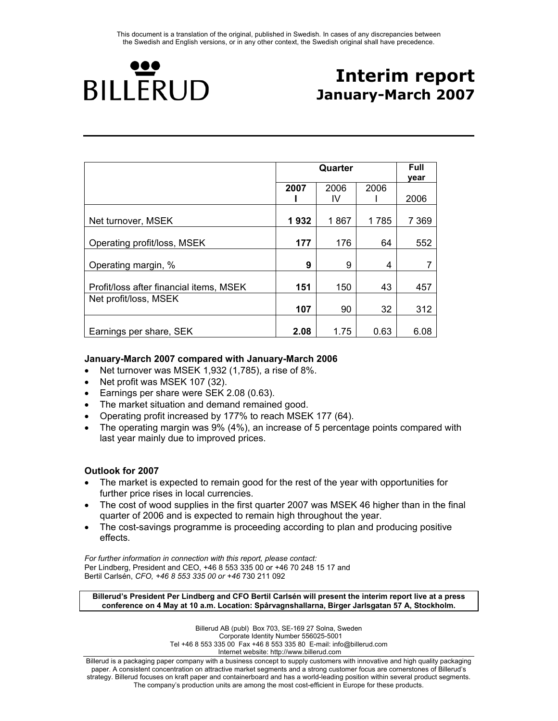

# **Interim report January-March 2007**

|                                         |      |      | Full<br>year |         |
|-----------------------------------------|------|------|--------------|---------|
|                                         | 2007 | 2006 | 2006         |         |
|                                         |      | IV   |              | 2006    |
| Net turnover, MSEK                      | 1932 | 1867 | 1785         | 7 3 6 9 |
| Operating profit/loss, MSEK             | 177  | 176  | 64           | 552     |
| Operating margin, %                     | 9    | 9    | 4            |         |
| Profit/loss after financial items, MSEK | 151  | 150  | 43           | 457     |
| Net profit/loss, MSEK                   | 107  | 90   | 32           | 312     |
| Earnings per share, SEK                 | 2.08 | 1.75 | 0.63         | 6.08    |

# **January-March 2007 compared with January-March 2006**

- Net turnover was MSEK 1,932 (1,785), a rise of 8%.
- Net profit was MSEK 107 (32).
- Earnings per share were SEK 2.08 (0.63).
- The market situation and demand remained good.
- Operating profit increased by 177% to reach MSEK 177 (64).
- The operating margin was 9% (4%), an increase of 5 percentage points compared with last year mainly due to improved prices.

#### **Outlook for 2007**

- The market is expected to remain good for the rest of the year with opportunities for further price rises in local currencies.
- The cost of wood supplies in the first quarter 2007 was MSEK 46 higher than in the final quarter of 2006 and is expected to remain high throughout the year.
- The cost-savings programme is proceeding according to plan and producing positive effects.

*For further information in connection with this report, please contact:*  Per Lindberg, President and CEO, +46 8 553 335 00 or +46 70 248 15 17 and Bertil Carlsén, *CFO, +46 8 553 335 00 or +46* 730 211 092

**Billerud's President Per Lindberg and CFO Bertil Carlsén will present the interim report live at a press conference on 4 May at 10 a.m. Location: Spårvagnshallarna, Birger Jarlsgatan 57 A, Stockholm.** 

> Billerud AB (publ) Box 703, SE-169 27 Solna, Sweden Corporate Identity Number 556025-5001 Tel +46 8 553 335 00 Fax +46 8 553 335 80 E-mail: info@billerud.com Internet website: http://www.billerud.com

Billerud is a packaging paper company with a business concept to supply customers with innovative and high quality packaging paper. A consistent concentration on attractive market segments and a strong customer focus are cornerstones of Billerud's strategy. Billerud focuses on kraft paper and containerboard and has a world-leading position within several product segments. The company's production units are among the most cost-efficient in Europe for these products.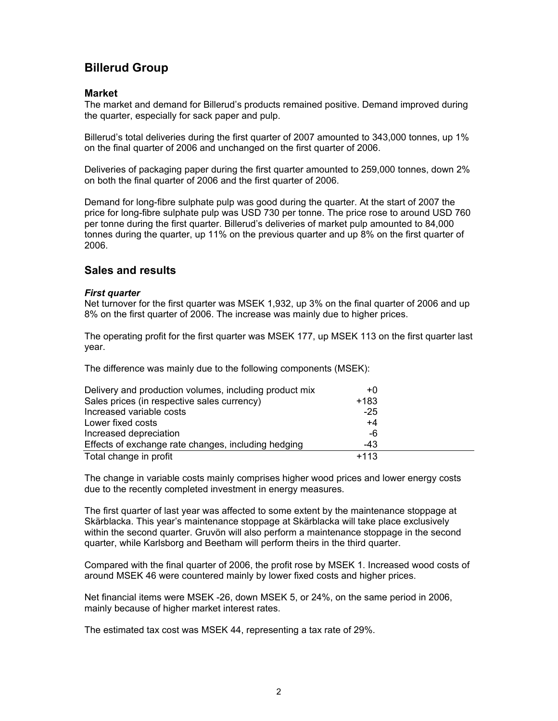# **Billerud Group**

### **Market**

The market and demand for Billerud's products remained positive. Demand improved during the quarter, especially for sack paper and pulp.

Billerud's total deliveries during the first quarter of 2007 amounted to 343,000 tonnes, up 1% on the final quarter of 2006 and unchanged on the first quarter of 2006.

Deliveries of packaging paper during the first quarter amounted to 259,000 tonnes, down 2% on both the final quarter of 2006 and the first quarter of 2006.

Demand for long-fibre sulphate pulp was good during the quarter. At the start of 2007 the price for long-fibre sulphate pulp was USD 730 per tonne. The price rose to around USD 760 per tonne during the first quarter. Billerud's deliveries of market pulp amounted to 84,000 tonnes during the quarter, up 11% on the previous quarter and up 8% on the first quarter of 2006.

# **Sales and results**

#### *First quarter*

Net turnover for the first quarter was MSEK 1,932, up 3% on the final quarter of 2006 and up 8% on the first quarter of 2006. The increase was mainly due to higher prices.

The operating profit for the first quarter was MSEK 177, up MSEK 113 on the first quarter last year.

The difference was mainly due to the following components (MSEK):

| Delivery and production volumes, including product mix | +0     |  |
|--------------------------------------------------------|--------|--|
| Sales prices (in respective sales currency)            | $+183$ |  |
| Increased variable costs                               | $-25$  |  |
| Lower fixed costs                                      | +4     |  |
| Increased depreciation                                 | -6     |  |
| Effects of exchange rate changes, including hedging    | $-43$  |  |
| Total change in profit                                 | $+113$ |  |

The change in variable costs mainly comprises higher wood prices and lower energy costs due to the recently completed investment in energy measures.

The first quarter of last year was affected to some extent by the maintenance stoppage at Skärblacka. This year's maintenance stoppage at Skärblacka will take place exclusively within the second quarter. Gruvön will also perform a maintenance stoppage in the second quarter, while Karlsborg and Beetham will perform theirs in the third quarter.

Compared with the final quarter of 2006, the profit rose by MSEK 1. Increased wood costs of around MSEK 46 were countered mainly by lower fixed costs and higher prices.

Net financial items were MSEK -26, down MSEK 5, or 24%, on the same period in 2006, mainly because of higher market interest rates.

The estimated tax cost was MSEK 44, representing a tax rate of 29%.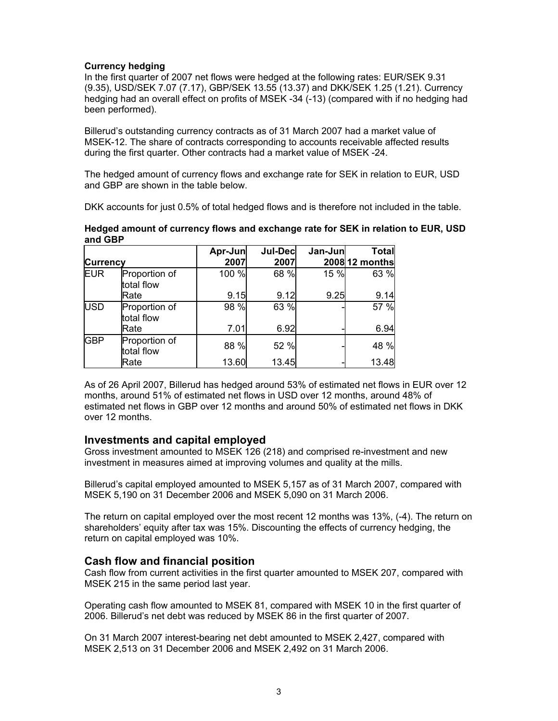#### **Currency hedging**

In the first quarter of 2007 net flows were hedged at the following rates: EUR/SEK 9.31 (9.35), USD/SEK 7.07 (7.17), GBP/SEK 13.55 (13.37) and DKK/SEK 1.25 (1.21). Currency hedging had an overall effect on profits of MSEK -34 (-13) (compared with if no hedging had been performed).

Billerud's outstanding currency contracts as of 31 March 2007 had a market value of MSEK-12. The share of contracts corresponding to accounts receivable affected results during the first quarter. Other contracts had a market value of MSEK -24.

The hedged amount of currency flows and exchange rate for SEK in relation to EUR, USD and GBP are shown in the table below.

DKK accounts for just 0.5% of total hedged flows and is therefore not included in the table.

| <b>Currency</b> |                             | Apr-Jun<br>2007 | <b>Jul-Dec</b><br>2007 | Jan-Jun | <b>Total</b><br>2008 12 months |
|-----------------|-----------------------------|-----------------|------------------------|---------|--------------------------------|
| <b>EUR</b>      | Proportion of<br>total flow | 100 %           | 68 %                   | 15 %    | 63 %                           |
|                 | Rate                        | 9.15            | 9.12                   | 9.25    | 9.14                           |
| <b>USD</b>      | Proportion of<br>total flow | 98 %            | 63 %                   |         | 57 %                           |
|                 | Rate                        | 7.01            | 6.92                   |         | 6.94                           |
| <b>GBP</b>      | Proportion of<br>total flow | 88 %            | 52 %                   |         | 48 %                           |
|                 | Rate                        | 13.60           | 13.45                  |         | 13.48                          |

#### **Hedged amount of currency flows and exchange rate for SEK in relation to EUR, USD and GBP**

As of 26 April 2007, Billerud has hedged around 53% of estimated net flows in EUR over 12 months, around 51% of estimated net flows in USD over 12 months, around 48% of estimated net flows in GBP over 12 months and around 50% of estimated net flows in DKK over 12 months.

# **Investments and capital employed**

Gross investment amounted to MSEK 126 (218) and comprised re-investment and new investment in measures aimed at improving volumes and quality at the mills.

Billerud's capital employed amounted to MSEK 5,157 as of 31 March 2007, compared with MSEK 5,190 on 31 December 2006 and MSEK 5,090 on 31 March 2006.

The return on capital employed over the most recent 12 months was 13%, (-4). The return on shareholders' equity after tax was 15%. Discounting the effects of currency hedging, the return on capital employed was 10%.

# **Cash flow and financial position**

Cash flow from current activities in the first quarter amounted to MSEK 207, compared with MSEK 215 in the same period last year.

Operating cash flow amounted to MSEK 81, compared with MSEK 10 in the first quarter of 2006. Billerud's net debt was reduced by MSEK 86 in the first quarter of 2007.

On 31 March 2007 interest-bearing net debt amounted to MSEK 2,427, compared with MSEK 2,513 on 31 December 2006 and MSEK 2,492 on 31 March 2006.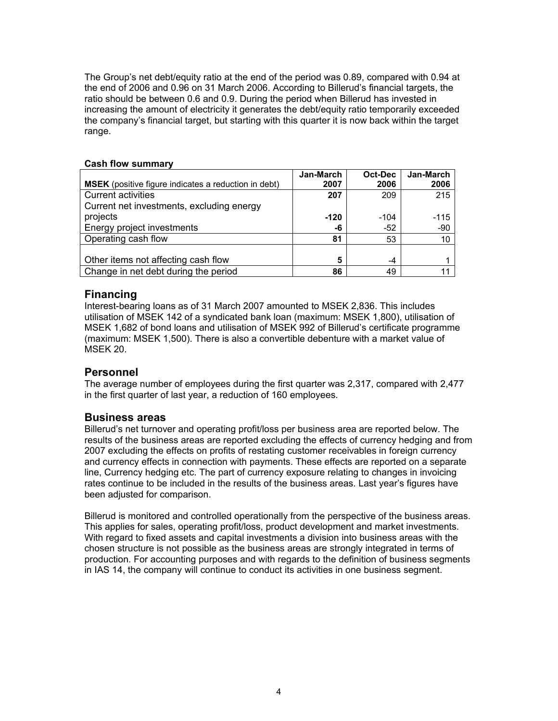The Group's net debt/equity ratio at the end of the period was 0.89, compared with 0.94 at the end of 2006 and 0.96 on 31 March 2006. According to Billerud's financial targets, the ratio should be between 0.6 and 0.9. During the period when Billerud has invested in increasing the amount of electricity it generates the debt/equity ratio temporarily exceeded the company's financial target, but starting with this quarter it is now back within the target range.

|                                                             | Jan-March | Oct-Dec | Jan-March |
|-------------------------------------------------------------|-----------|---------|-----------|
| <b>MSEK</b> (positive figure indicates a reduction in debt) | 2007      | 2006    | 2006      |
| <b>Current activities</b>                                   | 207       | 209     | 215       |
| Current net investments, excluding energy                   |           |         |           |
| projects                                                    | $-120$    | $-104$  | $-115$    |
| Energy project investments                                  | -6        | $-52$   | -90       |
| Operating cash flow                                         | 81        | 53      | 10        |
|                                                             |           |         |           |
| Other items not affecting cash flow                         | 5         | -4      |           |
| Change in net debt during the period                        | 86        | 49      |           |

#### **Cash flow summary**

# **Financing**

Interest-bearing loans as of 31 March 2007 amounted to MSEK 2,836. This includes utilisation of MSEK 142 of a syndicated bank loan (maximum: MSEK 1,800), utilisation of MSEK 1,682 of bond loans and utilisation of MSEK 992 of Billerud's certificate programme (maximum: MSEK 1,500). There is also a convertible debenture with a market value of MSEK 20.

#### **Personnel**

The average number of employees during the first quarter was 2,317, compared with 2,477 in the first quarter of last year, a reduction of 160 employees.

#### **Business areas**

Billerud's net turnover and operating profit/loss per business area are reported below. The results of the business areas are reported excluding the effects of currency hedging and from 2007 excluding the effects on profits of restating customer receivables in foreign currency and currency effects in connection with payments. These effects are reported on a separate line, Currency hedging etc. The part of currency exposure relating to changes in invoicing rates continue to be included in the results of the business areas. Last year's figures have been adjusted for comparison.

Billerud is monitored and controlled operationally from the perspective of the business areas. This applies for sales, operating profit/loss, product development and market investments. With regard to fixed assets and capital investments a division into business areas with the chosen structure is not possible as the business areas are strongly integrated in terms of production. For accounting purposes and with regards to the definition of business segments in IAS 14, the company will continue to conduct its activities in one business segment.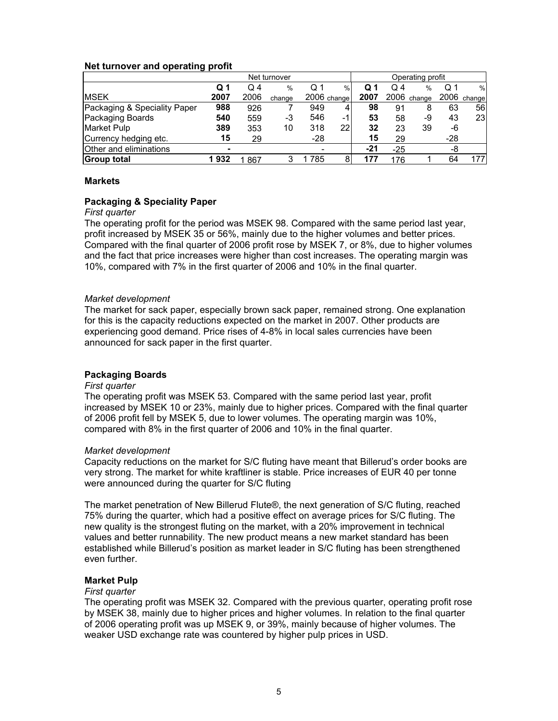#### **Net turnover and operating profit**

| Net turnover                 |      |      |        | Operating profit |             |      |            |             |       |             |
|------------------------------|------|------|--------|------------------|-------------|------|------------|-------------|-------|-------------|
|                              | Q 1  | Q 4  | %      | Q 1              | %           | Q 1  | $\Omega$ 4 | $\%$        | Q 1   | %           |
| <b>MSEK</b>                  | 2007 | 2006 | change |                  | 2006 change | 2007 |            | 2006 change |       | 2006 change |
| Packaging & Speciality Paper | 988  | 926  |        | 949              | 4           | 98   | 91         | 8           | 63    | 561         |
| Packaging Boards             | 540  | 559  | -3     | 546              | -11         | 53   | 58         | -9          | 43    | 231         |
| Market Pulp                  | 389  | 353  | 10     | 318              | 22          | 32   | 23         | 39          | -6    |             |
| Currency hedging etc.        | 15   | 29   |        | $-28$            |             | 15   | 29         |             | $-28$ |             |
| Other and eliminations       | ۰    |      |        | ۰                |             | -21  | $-25$      |             | -8    |             |
| <b>Group total</b>           | 1932 | 867  | 3      | 785              | 8           |      | 176        |             | 64    | 177         |

#### **Markets**

#### **Packaging & Speciality Paper**

#### *First quarter*

The operating profit for the period was MSEK 98. Compared with the same period last year, profit increased by MSEK 35 or 56%, mainly due to the higher volumes and better prices. Compared with the final quarter of 2006 profit rose by MSEK 7, or 8%, due to higher volumes and the fact that price increases were higher than cost increases. The operating margin was 10%, compared with 7% in the first quarter of 2006 and 10% in the final quarter.

#### *Market development*

The market for sack paper, especially brown sack paper, remained strong. One explanation for this is the capacity reductions expected on the market in 2007. Other products are experiencing good demand. Price rises of 4-8% in local sales currencies have been announced for sack paper in the first quarter.

#### **Packaging Boards**

#### *First quarter*

The operating profit was MSEK 53. Compared with the same period last year, profit increased by MSEK 10 or 23%, mainly due to higher prices. Compared with the final quarter of 2006 profit fell by MSEK 5, due to lower volumes. The operating margin was 10%, compared with 8% in the first quarter of 2006 and 10% in the final quarter.

#### *Market development*

Capacity reductions on the market for S/C fluting have meant that Billerud's order books are very strong. The market for white kraftliner is stable. Price increases of EUR 40 per tonne were announced during the quarter for S/C fluting

The market penetration of New Billerud Flute®, the next generation of S/C fluting, reached 75% during the quarter, which had a positive effect on average prices for S/C fluting. The new quality is the strongest fluting on the market, with a 20% improvement in technical values and better runnability. The new product means a new market standard has been established while Billerud's position as market leader in S/C fluting has been strengthened even further.

# **Market Pulp**

#### *First quarter*

The operating profit was MSEK 32. Compared with the previous quarter, operating profit rose by MSEK 38, mainly due to higher prices and higher volumes. In relation to the final quarter of 2006 operating profit was up MSEK 9, or 39%, mainly because of higher volumes. The weaker USD exchange rate was countered by higher pulp prices in USD.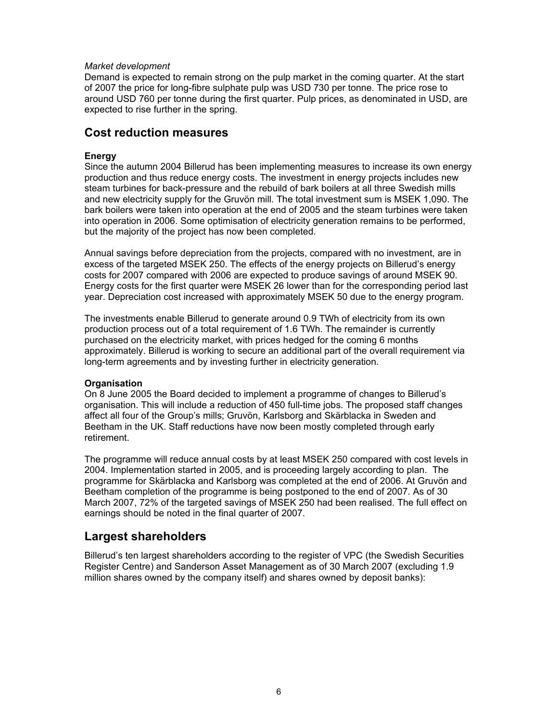#### *Market development*

Demand is expected to remain strong on the pulp market in the coming quarter. At the start of 2007 the price for long-fibre sulphate pulp was USD 730 per tonne. The price rose to around USD 760 per tonne during the first quarter. Pulp prices, as denominated in USD, are expected to rise further in the spring.

# **Cost reduction measures**

#### **Energy**

Since the autumn 2004 Billerud has been implementing measures to increase its own energy production and thus reduce energy costs. The investment in energy projects includes new steam turbines for back-pressure and the rebuild of bark boilers at all three Swedish mills and new electricity supply for the Gruvön mill. The total investment sum is MSEK 1,090. The bark boilers were taken into operation at the end of 2005 and the steam turbines were taken into operation in 2006. Some optimisation of electricity generation remains to be performed, but the majority of the project has now been completed.

Annual savings before depreciation from the projects, compared with no investment, are in excess of the targeted MSEK 250. The effects of the energy projects on Billerud's energy costs for 2007 compared with 2006 are expected to produce savings of around MSEK 90. Energy costs for the first quarter were MSEK 26 lower than for the corresponding period last year. Depreciation cost increased with approximately MSEK 50 due to the energy program.

The investments enable Billerud to generate around 0.9 TWh of electricity from its own production process out of a total requirement of 1.6 TWh. The remainder is currently purchased on the electricity market, with prices hedged for the coming 6 months approximately. Billerud is working to secure an additional part of the overall requirement via long-term agreements and by investing further in electricity generation.

#### **Organisation**

On 8 June 2005 the Board decided to implement a programme of changes to Billerud's organisation. This will include a reduction of 450 full-time jobs. The proposed staff changes affect all four of the Group's mills; Gruvön, Karlsborg and Skärblacka in Sweden and Beetham in the UK. Staff reductions have now been mostly completed through early retirement.

The programme will reduce annual costs by at least MSEK 250 compared with cost levels in 2004. Implementation started in 2005, and is proceeding largely according to plan. The programme for Skärblacka and Karlsborg was completed at the end of 2006. At Gruvön and Beetham completion of the programme is being postponed to the end of 2007. As of 30 March 2007, 72% of the targeted savings of MSEK 250 had been realised. The full effect on earnings should be noted in the final quarter of 2007.

# **Largest shareholders**

Billerud's ten largest shareholders according to the register of VPC (the Swedish Securities Register Centre) and Sanderson Asset Management as of 30 March 2007 (excluding 1.9 million shares owned by the company itself) and shares owned by deposit banks):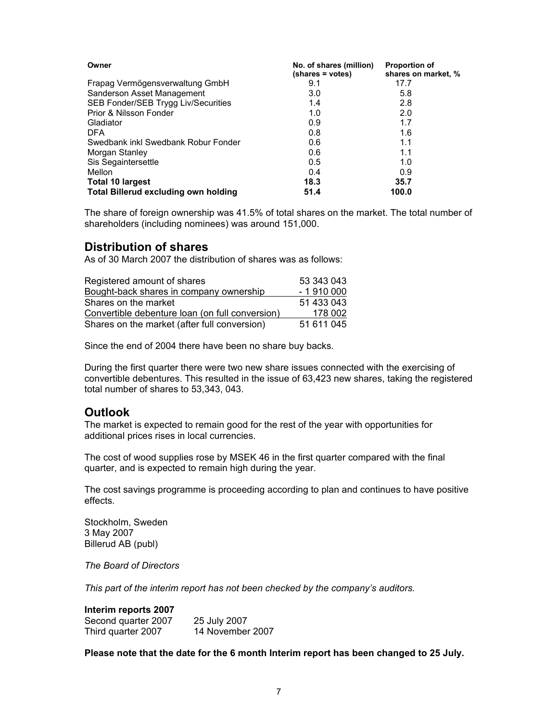| Owner                                | No. of shares (million)<br>(shares = votes) | <b>Proportion of</b><br>shares on market, % |
|--------------------------------------|---------------------------------------------|---------------------------------------------|
| Frapag Vermögensverwaltung GmbH      | 9.1                                         | 17.7                                        |
| Sanderson Asset Management           | 3.0                                         | 5.8                                         |
| SEB Fonder/SEB Trygg Liv/Securities  | 1.4                                         | 2.8                                         |
| Prior & Nilsson Fonder               | 1.0                                         | 2.0                                         |
| Gladiator                            | 0.9                                         | 1.7                                         |
| <b>DFA</b>                           | 0.8                                         | 1.6                                         |
| Swedbank inkl Swedbank Robur Fonder  | 0.6                                         | 1.1                                         |
| Morgan Stanley                       | 0.6                                         | 1.1                                         |
| Sis Segaintersettle                  | 0.5                                         | 1.0                                         |
| Mellon                               | 0.4                                         | 0.9                                         |
| Total 10 largest                     | 18.3                                        | 35.7                                        |
| Total Billerud excluding own holding | 51.4                                        | 100.0                                       |

The share of foreign ownership was 41.5% of total shares on the market. The total number of shareholders (including nominees) was around 151,000.

# **Distribution of shares**

As of 30 March 2007 the distribution of shares was as follows:

| Registered amount of shares                     | 53 343 043 |
|-------------------------------------------------|------------|
| Bought-back shares in company ownership         | $-1910000$ |
| Shares on the market                            | 51 433 043 |
| Convertible debenture loan (on full conversion) | 178 002    |
| Shares on the market (after full conversion)    | 51 611 045 |

Since the end of 2004 there have been no share buy backs.

During the first quarter there were two new share issues connected with the exercising of convertible debentures. This resulted in the issue of 63,423 new shares, taking the registered total number of shares to 53,343, 043.

# **Outlook**

The market is expected to remain good for the rest of the year with opportunities for additional prices rises in local currencies.

The cost of wood supplies rose by MSEK 46 in the first quarter compared with the final quarter, and is expected to remain high during the year.

The cost savings programme is proceeding according to plan and continues to have positive effects.

Stockholm, Sweden 3 May 2007 Billerud AB (publ)

*The Board of Directors* 

*This part of the interim report has not been checked by the company's auditors.* 

#### **Interim reports 2007**

| Second quarter 2007 | 25 July 2007     |
|---------------------|------------------|
| Third quarter 2007  | 14 November 2007 |

**Please note that the date for the 6 month Interim report has been changed to 25 July.**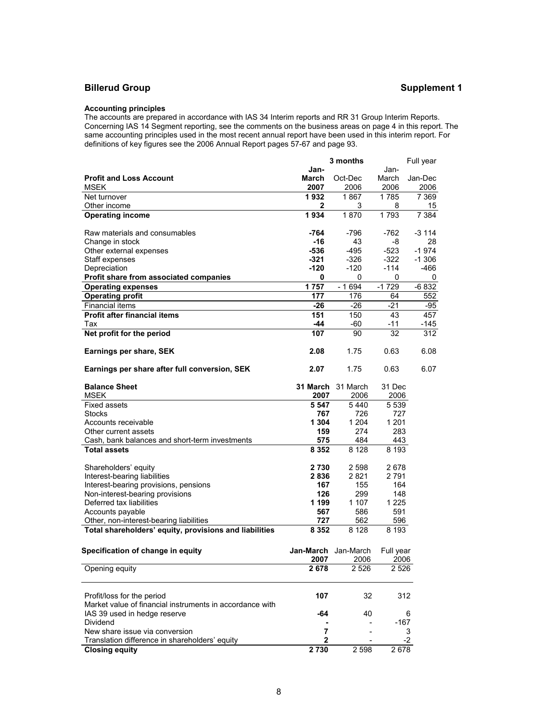# **Billerud Group Supplement 1**

#### **Accounting principles**

The accounts are prepared in accordance with IAS 34 Interim reports and RR 31 Group Interim Reports. Concerning IAS 14 Segment reporting, see the comments on the business areas on page 4 in this report. The same accounting principles used in the most recent annual report have been used in this interim report. For definitions of key figures see the 2006 Annual Report pages 57-67 and page 93.

|                                                          | 3 months  |                          |           | Full year |
|----------------------------------------------------------|-----------|--------------------------|-----------|-----------|
|                                                          | Jan-      |                          | Jan-      |           |
| <b>Profit and Loss Account</b>                           | March     | Oct-Dec                  | March     | Jan-Dec   |
| <b>MSEK</b>                                              | 2007      | 2006                     | 2006      | 2006      |
| Net turnover                                             | 1932      | 1867                     | 1785      | 7 3 6 9   |
|                                                          |           |                          |           |           |
| Other income                                             | 2         | 3                        | 8         | 15        |
| <b>Operating income</b>                                  | 1934      | 1870                     | 1793      | 7 3 8 4   |
| Raw materials and consumables                            | -764      | $-796$                   | -762      | $-3114$   |
| Change in stock                                          | $-16$     | 43                       | -8        | 28        |
| Other external expenses                                  | $-536$    | $-495$                   | -523      | $-1974$   |
| Staff expenses                                           | $-321$    | $-326$                   | $-322$    | $-1306$   |
|                                                          | -120      | -120                     | $-114$    | -466      |
| Depreciation                                             |           |                          |           |           |
| Profit share from associated companies                   | 0         | 0                        | 0         | 0         |
| <b>Operating expenses</b>                                | 1757      | $-1694$                  | $-1729$   | $-6832$   |
| <b>Operating profit</b>                                  | 177       | 176                      | 64        | 552       |
| <b>Financial items</b>                                   | $-26$     | $-26$                    | $-21$     | -95       |
| Profit after financial items                             | 151       | 150                      | 43        | 457       |
| Tax                                                      | -44       | -60                      | -11       | $-145$    |
| Net profit for the period                                | 107       | 90                       | 32        | 312       |
|                                                          |           |                          |           |           |
| Earnings per share, SEK                                  | 2.08      | 1.75                     | 0.63      | 6.08      |
|                                                          |           |                          |           |           |
| Earnings per share after full conversion, SEK            | 2.07      | 1.75                     | 0.63      | 6.07      |
|                                                          |           |                          |           |           |
| <b>Balance Sheet</b>                                     |           | <b>31 March</b> 31 March | 31 Dec    |           |
| <b>MSEK</b>                                              | 2007      | 2006                     | 2006      |           |
| <b>Fixed assets</b>                                      | 5 5 4 7   | 5440                     | 5 5 3 9   |           |
| <b>Stocks</b>                                            | 767       | 726                      | 727       |           |
| Accounts receivable                                      | 1 304     | 1 2 0 4                  | 1 201     |           |
| Other current assets                                     | 159       | 274                      | 283       |           |
| Cash, bank balances and short-term investments           | 575       | 484                      | 443       |           |
| <b>Total assets</b>                                      | 8 3 5 2   | 8 1 2 8                  | 8 1 9 3   |           |
|                                                          |           |                          |           |           |
| Shareholders' equity                                     | 2730      | 2 5 9 8                  | 2678      |           |
| Interest-bearing liabilities                             | 2836      | 2821                     | 2791      |           |
| Interest-bearing provisions, pensions                    | 167       | 155                      | 164       |           |
|                                                          | 126       | 299                      | 148       |           |
| Non-interest-bearing provisions                          |           |                          |           |           |
| Deferred tax liabilities                                 | 1 199     | 1 107                    | 1 2 2 5   |           |
| Accounts payable                                         | 567       | 586                      | 591       |           |
| Other, non-interest-bearing liabilities                  | 727       | 562                      | 596       |           |
| Total shareholders' equity, provisions and liabilities   | 8 3 5 2   | 8 1 2 8                  | 8 1 9 3   |           |
|                                                          |           |                          |           |           |
| Specification of change in equity                        | Jan-March | Jan-March                | Full year |           |
|                                                          | 2007      | 2006                     | 2006      |           |
| Opening equity                                           | 2678      | 2 5 2 6                  | 2 526     |           |
|                                                          |           |                          |           |           |
|                                                          |           |                          |           |           |
| Profit/loss for the period                               | 107       | 32                       | 312       |           |
| Market value of financial instruments in accordance with |           |                          |           |           |
| IAS 39 used in hedge reserve                             | -64       | 40                       |           | 6         |
| Dividend                                                 |           |                          | $-167$    |           |
| New share issue via conversion                           | 7         |                          |           | 3         |
| Translation difference in shareholders' equity           | 2         |                          |           | $-2$      |
| <b>Closing equity</b>                                    | 2730      | 2 5 9 8                  | 2678      |           |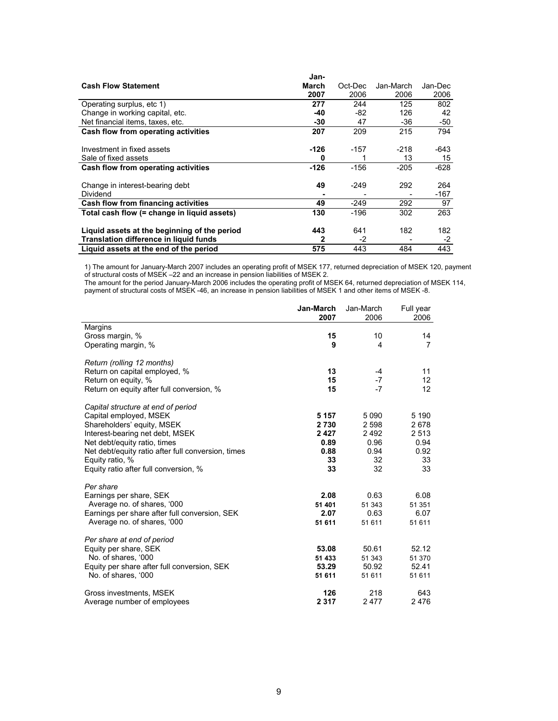|                                              | Jan-         |         |           |         |
|----------------------------------------------|--------------|---------|-----------|---------|
| <b>Cash Flow Statement</b>                   | <b>March</b> | Oct-Dec | Jan-March | Jan-Dec |
|                                              | 2007         | 2006    | 2006      | 2006    |
| Operating surplus, etc 1)                    | 277          | 244     | 125       | 802     |
| Change in working capital, etc.              | -40          | -82     | 126       | 42      |
| Net financial items, taxes, etc.             | $-30$        | 47      | $-36$     | -50     |
| Cash flow from operating activities          | 207          | 209     | 215       | 794     |
|                                              |              |         |           |         |
| Investment in fixed assets                   | -126         | -157    | $-218$    | -643    |
| Sale of fixed assets                         | 0            |         | 13        | 15      |
| Cash flow from operating activities          | $-126$       | $-156$  | $-205$    | $-628$  |
|                                              |              |         |           |         |
| Change in interest-bearing debt              | 49           | $-249$  | 292       | 264     |
| Dividend                                     |              |         |           | -167    |
| Cash flow from financing activities          | 49           | $-249$  | 292       | 97      |
| Total cash flow (= change in liquid assets)  | 130          | $-196$  | 302       | 263     |
|                                              |              |         |           |         |
| Liquid assets at the beginning of the period | 443          | 641     | 182       | 182     |
| Translation difference in liquid funds       | 2            | $-2$    |           | -2      |
| Liquid assets at the end of the period       | 575          | 443     | 484       | 443     |

1) The amount for January-March 2007 includes an operating profit of MSEK 177, returned depreciation of MSEK 120, payment of structural costs of MSEK –22 and an increase in pension liabilities of MSEK 2.

The amount for the period January-March 2006 includes the operating profit of MSEK 64, returned depreciation of MSEK 114, payment of structural costs of MSEK -46, an increase in pension liabilities of MSEK 1 and other items of MSEK -8.

|                                                    | Jan-March<br>2007 | Jan-March<br>2006 | Full year<br>2006 |
|----------------------------------------------------|-------------------|-------------------|-------------------|
| Margins                                            |                   |                   |                   |
| Gross margin, %                                    | 15                | 10                | 14                |
| Operating margin, %                                | 9                 | 4                 | 7                 |
| Return (rolling 12 months)                         |                   |                   |                   |
| Return on capital employed, %                      | 13                | $-4$              | 11                |
| Return on equity, %                                | 15                | $-7$              | 12                |
| Return on equity after full conversion, %          | 15                | $-7$              | 12                |
| Capital structure at end of period                 |                   |                   |                   |
| Capital employed, MSEK                             | 5 1 5 7           | 5 0 9 0           | 5 1 9 0           |
| Shareholders' equity, MSEK                         | 2730              | 2 5 9 8           | 2678              |
| Interest-bearing net debt, MSEK                    | 2427              | 2492              | 2 5 1 3           |
| Net debt/equity ratio, times                       | 0.89              | 0.96              | 0.94              |
| Net debt/equity ratio after full conversion, times | 0.88              | 0.94              | 0.92              |
| Equity ratio, %                                    | 33                | 32                | 33                |
| Equity ratio after full conversion, %              | 33                | 32                | 33                |
| Per share                                          |                   |                   |                   |
| Earnings per share, SEK                            | 2.08              | 0.63              | 6.08              |
| Average no. of shares, '000                        | 51 401            | 51 343            | 51 351            |
| Earnings per share after full conversion, SEK      | 2.07              | 0.63              | 6.07              |
| Average no. of shares, '000                        | 51 611            | 51 611            | 51 611            |
| Per share at end of period                         |                   |                   |                   |
| Equity per share, SEK                              | 53.08             | 50.61             | 52.12             |
| No. of shares, '000                                | 51 433            | 51 343            | 51 370            |
| Equity per share after full conversion, SEK        | 53.29             | 50.92             | 52.41             |
| No. of shares, '000                                | 51 611            | 51 611            | 51 611            |
| Gross investments, MSEK                            | 126               | 218               | 643               |
| Average number of employees                        | 2 3 1 7           | 2477              | 2476              |